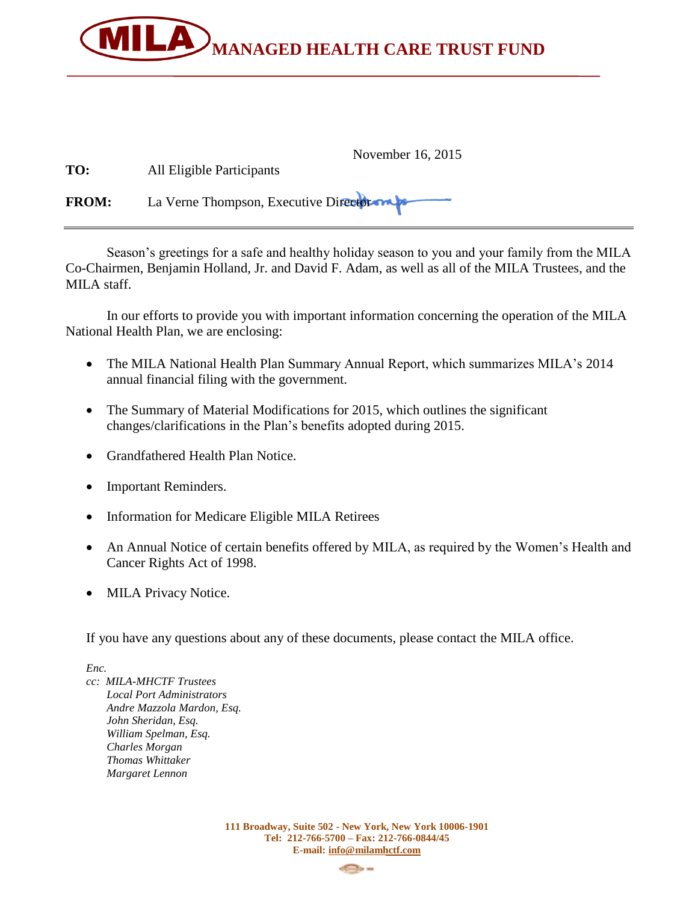

| TO:          | November 16, 2015<br>All Eligible Participants |  |  |  |  |
|--------------|------------------------------------------------|--|--|--|--|
| <b>FROM:</b> | La Verne Thompson, Executive Directors         |  |  |  |  |

Season's greetings for a safe and healthy holiday season to you and your family from the MILA Co-Chairmen, Benjamin Holland, Jr. and David F. Adam, as well as all of the MILA Trustees, and the MILA staff.

In our efforts to provide you with important information concerning the operation of the MILA National Health Plan, we are enclosing:

- The MILA National Health Plan Summary Annual Report, which summarizes MILA's 2014 annual financial filing with the government.
- The Summary of Material Modifications for 2015, which outlines the significant changes/clarifications in the Plan's benefits adopted during 2015.
- Grandfathered Health Plan Notice.
- Important Reminders.
- Information for Medicare Eligible MILA Retirees
- An Annual Notice of certain benefits offered by MILA, as required by the Women's Health and Cancer Rights Act of 1998.
- MILA Privacy Notice.

If you have any questions about any of these documents, please contact the MILA office.

*Enc.* 

*cc: MILA-MHCTF Trustees Local Port Administrators Andre Mazzola Mardon, Esq. John Sheridan, Esq. William Spelman, Esq. Charles Morgan Thomas Whittaker Margaret Lennon*

> **111 Broadway, Suite 502 - New York, New York 10006-1901 Tel: 212-766-5700 – Fax: 212-766-0844/45 E-mail: [info@milamhctf.com](mailto:info@milamhctf.com)**

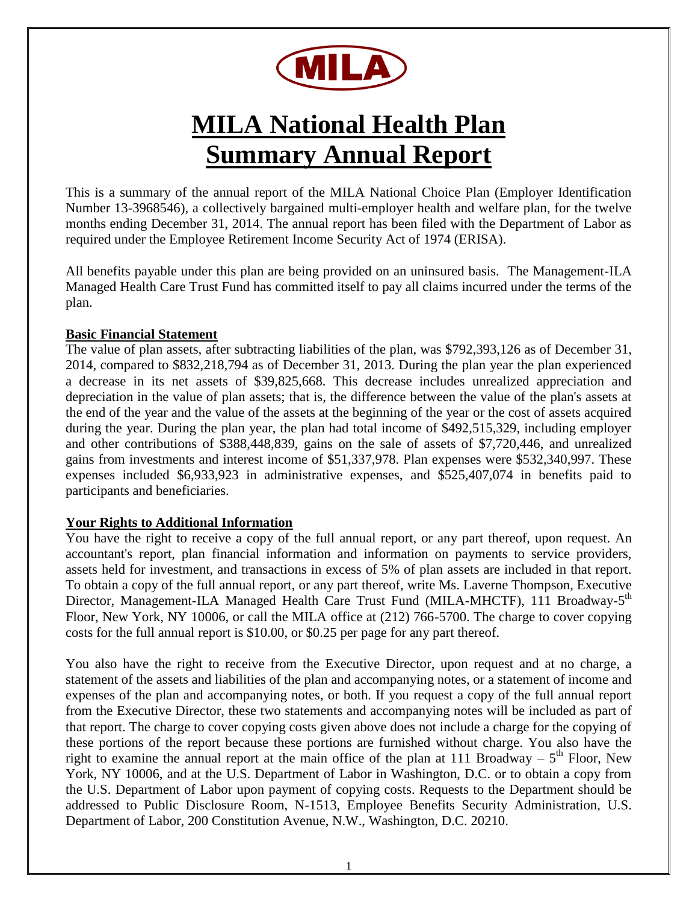

# **MILA National Health Plan Summary Annual Report**

This is a summary of the annual report of the MILA National Choice Plan (Employer Identification Number 13-3968546), a collectively bargained multi-employer health and welfare plan, for the twelve months ending December 31, 2014. The annual report has been filed with the Department of Labor as required under the Employee Retirement Income Security Act of 1974 (ERISA).

All benefits payable under this plan are being provided on an uninsured basis. The Management-ILA Managed Health Care Trust Fund has committed itself to pay all claims incurred under the terms of the plan.

### **Basic Financial Statement**

The value of plan assets, after subtracting liabilities of the plan, was \$792,393,126 as of December 31, 2014, compared to \$832,218,794 as of December 31, 2013. During the plan year the plan experienced a decrease in its net assets of \$39,825,668. This decrease includes unrealized appreciation and depreciation in the value of plan assets; that is, the difference between the value of the plan's assets at the end of the year and the value of the assets at the beginning of the year or the cost of assets acquired during the year. During the plan year, the plan had total income of \$492,515,329, including employer and other contributions of \$388,448,839, gains on the sale of assets of \$7,720,446, and unrealized gains from investments and interest income of \$51,337,978. Plan expenses were \$532,340,997. These expenses included \$6,933,923 in administrative expenses, and \$525,407,074 in benefits paid to participants and beneficiaries.

### **Your Rights to Additional Information**

You have the right to receive a copy of the full annual report, or any part thereof, upon request. An accountant's report, plan financial information and information on payments to service providers, assets held for investment, and transactions in excess of 5% of plan assets are included in that report. To obtain a copy of the full annual report, or any part thereof, write Ms. Laverne Thompson, Executive Director, Management-ILA Managed Health Care Trust Fund (MILA-MHCTF), 111 Broadway-5<sup>th</sup> Floor, New York, NY 10006, or call the MILA office at (212) 766-5700. The charge to cover copying costs for the full annual report is \$10.00, or \$0.25 per page for any part thereof.

You also have the right to receive from the Executive Director, upon request and at no charge, a statement of the assets and liabilities of the plan and accompanying notes, or a statement of income and expenses of the plan and accompanying notes, or both. If you request a copy of the full annual report from the Executive Director, these two statements and accompanying notes will be included as part of that report. The charge to cover copying costs given above does not include a charge for the copying of these portions of the report because these portions are furnished without charge. You also have the right to examine the annual report at the main office of the plan at 111 Broadway  $-5$ <sup>th</sup> Floor, New York, NY 10006, and at the U.S. Department of Labor in Washington, D.C. or to obtain a copy from the U.S. Department of Labor upon payment of copying costs. Requests to the Department should be addressed to Public Disclosure Room, N-1513, Employee Benefits Security Administration, U.S. Department of Labor, 200 Constitution Avenue, N.W., Washington, D.C. 20210.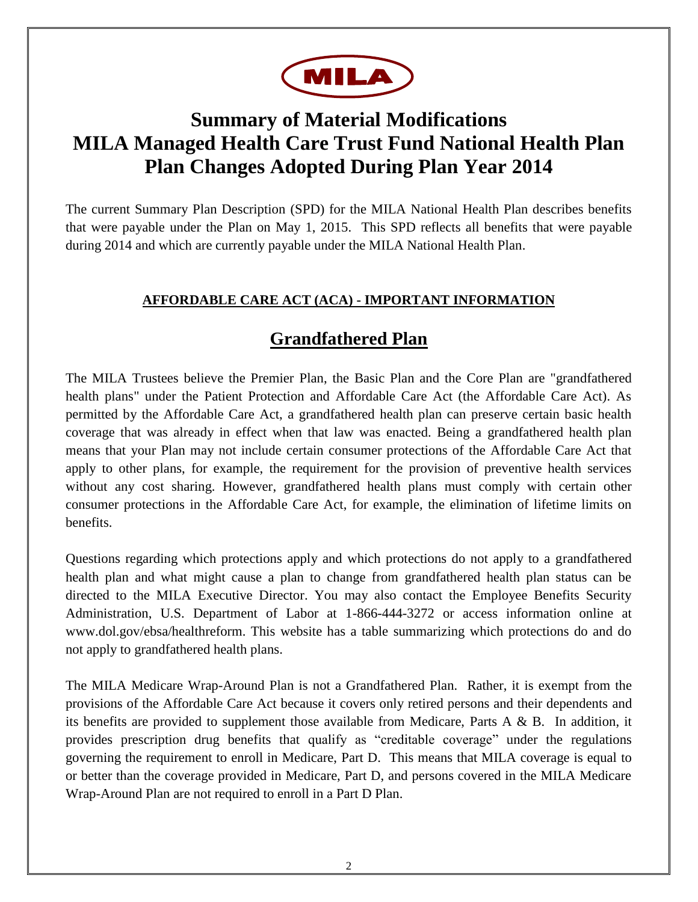

# **Summary of Material Modifications MILA Managed Health Care Trust Fund National Health Plan Plan Changes Adopted During Plan Year 2014**

The current Summary Plan Description (SPD) for the MILA National Health Plan describes benefits that were payable under the Plan on May 1, 2015. This SPD reflects all benefits that were payable during 2014 and which are currently payable under the MILA National Health Plan.

### **AFFORDABLE CARE ACT (ACA) - IMPORTANT INFORMATION**

## **Grandfathered Plan**

The MILA Trustees believe the Premier Plan, the Basic Plan and the Core Plan are "grandfathered health plans" under the Patient Protection and Affordable Care Act (the Affordable Care Act). As permitted by the Affordable Care Act, a grandfathered health plan can preserve certain basic health coverage that was already in effect when that law was enacted. Being a grandfathered health plan means that your Plan may not include certain consumer protections of the Affordable Care Act that apply to other plans, for example, the requirement for the provision of preventive health services without any cost sharing. However, grandfathered health plans must comply with certain other consumer protections in the Affordable Care Act, for example, the elimination of lifetime limits on benefits.

Questions regarding which protections apply and which protections do not apply to a grandfathered health plan and what might cause a plan to change from grandfathered health plan status can be directed to the MILA Executive Director. You may also contact the Employee Benefits Security Administration, U.S. Department of Labor at 1-866-444-3272 or access information online at www.dol.gov/ebsa/healthreform. This website has a table summarizing which protections do and do not apply to grandfathered health plans.

The MILA Medicare Wrap-Around Plan is not a Grandfathered Plan. Rather, it is exempt from the provisions of the Affordable Care Act because it covers only retired persons and their dependents and its benefits are provided to supplement those available from Medicare, Parts A & B. In addition, it provides prescription drug benefits that qualify as "creditable coverage" under the regulations governing the requirement to enroll in Medicare, Part D. This means that MILA coverage is equal to or better than the coverage provided in Medicare, Part D, and persons covered in the MILA Medicare Wrap-Around Plan are not required to enroll in a Part D Plan.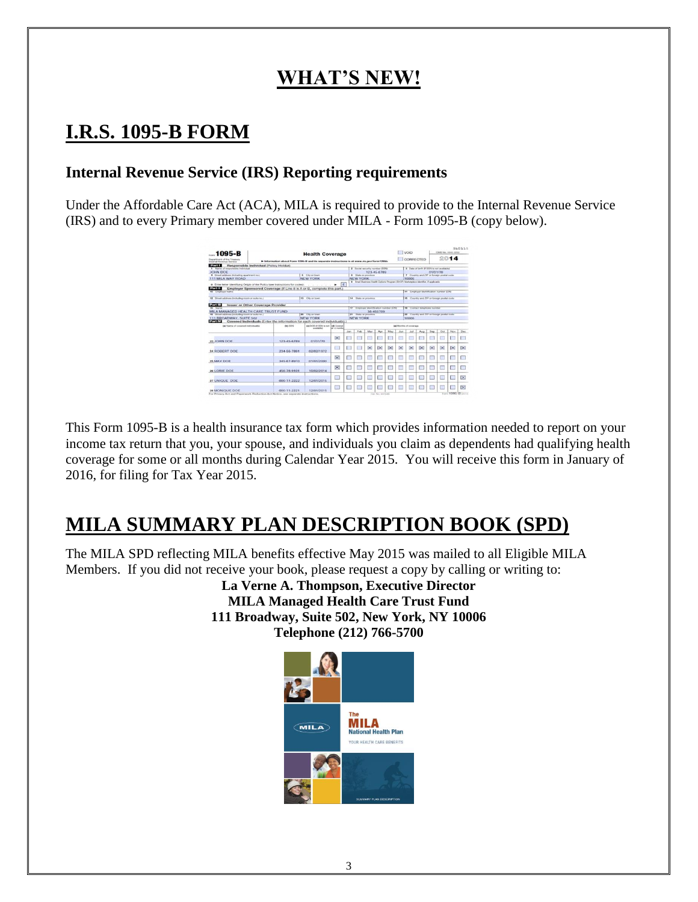# **WHAT'S NEW!**

# **I.R.S. 1095-B FORM**

### **Internal Revenue Service (IRS) Reporting requirements**

Under the Affordable Care Act (ACA), MILA is required to provide to the Internal Revenue Service (IRS) and to every Primary member covered under MILA - Form 1095-B (copy below).

| 1095-B<br><b>Health Coverage</b>                        |                                                                                             |                                     |                                                 |                                                                                                         |                                         |          |                     |                                             |                                                    | <b>I</b> VOID                                |              |          | 510115<br>CARL No. 1545-2252 |                   |              |  |  |
|---------------------------------------------------------|---------------------------------------------------------------------------------------------|-------------------------------------|-------------------------------------------------|---------------------------------------------------------------------------------------------------------|-----------------------------------------|----------|---------------------|---------------------------------------------|----------------------------------------------------|----------------------------------------------|--------------|----------|------------------------------|-------------------|--------------|--|--|
| Department of the Treasury<br>Internal Desarrow Service | > Information about Form 1095-8 and its separate instructions is at www.irs.gov/form f0955. |                                     |                                                 |                                                                                                         |                                         |          |                     |                                             | 2014<br>CORRECTED                                  |                                              |              |          |                              |                   |              |  |  |
| Part I                                                  | Responsible Individual (Policy Holder)                                                      |                                     |                                                 |                                                                                                         |                                         |          |                     |                                             |                                                    |                                              |              |          |                              |                   |              |  |  |
| 1 Name of responsible industries<br>JOHN DOE            |                                                                                             |                                     | 2 Social security remitter (55N)<br>123-45-6789 |                                                                                                         |                                         |          |                     |                                             | 3 Date of birth # 55N is not available<br>01/01/70 |                                              |              |          |                              |                   |              |  |  |
| 4 Street address dechating apartment no.)               |                                                                                             | 5 City or News                      |                                                 |                                                                                                         | 4 State or province                     |          |                     |                                             |                                                    | 7 Country and ZIP or foreign postal code.    |              |          |                              |                   |              |  |  |
| 111 MILA WAY ROAD                                       |                                                                                             | NEW YORK                            |                                                 | <b>NEW YORK</b><br>9 Ernal Dustwiss Health Options Program (SHOP) Markutplace startifier. If sopkinding |                                         |          |                     |                                             |                                                    | 10006                                        |              |          |                              |                   |              |  |  |
|                                                         | 8 Enter letter identifying Origin of the Policy (see instructions for codes):               |                                     | E<br>۰                                          |                                                                                                         |                                         |          |                     |                                             |                                                    |                                              |              |          |                              |                   |              |  |  |
| Part II<br>58 Employer name                             | Employer Sponsored Coverage (If Line 8 is A or B, complete this part.)                      |                                     |                                                 |                                                                                                         |                                         |          |                     |                                             |                                                    | 11 Employer (Sankfloation number (EIN)       |              |          |                              |                   |              |  |  |
|                                                         |                                                                                             |                                     |                                                 |                                                                                                         |                                         |          |                     |                                             |                                                    |                                              |              |          |                              |                   |              |  |  |
| 12 Street address including room or subs rec-           |                                                                                             | 13 City of finan-                   |                                                 | 14 State or connection                                                                                  |                                         |          |                     |                                             |                                                    | 15 Country and 25P or foreign pointal crade. |              |          |                              |                   |              |  |  |
| <b>Part III</b><br>66 Nietra                            | <b>Issuer or Other Coverage Provider</b>                                                    |                                     |                                                 |                                                                                                         | 17 Employer identification number (EPA) |          |                     |                                             |                                                    | 18 Contact Integritorie Humber               |              |          |                              |                   |              |  |  |
| MILA MANAGED HEALTH CARE TRUST FUND                     |                                                                                             |                                     |                                                 |                                                                                                         |                                         |          | 38-456789           |                                             |                                                    |                                              |              |          |                              |                   |              |  |  |
| 19 Giroud achievem Grobuskers moorn or make rec-in      | <b>30</b> Cify or knock                                                                     | 24 Engla or cells think<br>NEW YORK |                                                 |                                                                                                         |                                         |          |                     | 22 Country and ZiP or foregan pointed codes |                                                    |                                              |              |          |                              |                   |              |  |  |
| <b>111 BROADWAY, SUITE 502</b><br>Part IV               | Covered Individuals (Enter the information for each covered individual(s).)                 | NEW YORK                            |                                                 |                                                                                                         |                                         |          |                     |                                             |                                                    | 10006                                        |              |          |                              |                   |              |  |  |
| <b>Ed Teams of covered individualità</b>                | <b>BA SSN</b>                                                                               | deb DOB of SISN in red 16db Covered |                                                 | <b>Sel Months of coverage</b>                                                                           |                                         |          |                     |                                             |                                                    |                                              |              |          |                              |                   |              |  |  |
|                                                         |                                                                                             | <b>INSIGNA</b>                      | at 12 months                                    | <b>Jan</b>                                                                                              | Feb.                                    | Mar      | Acre                | May                                         | <b>Jun</b>                                         | 3d                                           | Aug          | See      | Ort                          | Now               | Dec          |  |  |
|                                                         |                                                                                             |                                     |                                                 |                                                                                                         |                                         |          |                     |                                             |                                                    |                                              |              |          |                              |                   |              |  |  |
| 23 JOHN DOE                                             | 123-45-6789                                                                                 | 01/01/70                            | $\mathbb{X}$                                    |                                                                                                         |                                         |          | <b>COL</b>          |                                             | œ                                                  | ▭                                            |              |          |                              |                   |              |  |  |
|                                                         |                                                                                             |                                     |                                                 |                                                                                                         |                                         | $\times$ | $\overline{\times}$ | $\vert \times \vert$                        | $\times$                                           | $\times$                                     | $\mathbb{R}$ | $\times$ | $\times$                     | $\propto$         | $\mathbb{R}$ |  |  |
| 24 ROBERT DOE                                           | 234-56-7891                                                                                 | 02/02/1972                          | m                                               |                                                                                                         |                                         |          |                     |                                             |                                                    |                                              |              |          |                              |                   |              |  |  |
|                                                         |                                                                                             |                                     | $\overline{\times}$                             |                                                                                                         |                                         |          |                     |                                             |                                                    |                                              |              |          |                              |                   |              |  |  |
| 26 MAY DOE                                              | 345-67-8910                                                                                 | 01/01/2000                          |                                                 |                                                                                                         |                                         |          | m                   |                                             | m                                                  |                                              |              |          |                              |                   |              |  |  |
|                                                         |                                                                                             |                                     |                                                 |                                                                                                         |                                         |          |                     |                                             |                                                    |                                              |              |          |                              |                   |              |  |  |
| <b>26 LORIE DOE</b>                                     | 456-78-9101                                                                                 | 10/02/2014                          | ×                                               |                                                                                                         |                                         |          |                     |                                             | ш                                                  |                                              |              |          |                              |                   |              |  |  |
|                                                         |                                                                                             |                                     |                                                 |                                                                                                         |                                         |          |                     |                                             |                                                    |                                              |              |          |                              |                   |              |  |  |
| 27 UNIQUE DOE                                           | 000-11-2222                                                                                 | 12/01/2015                          |                                                 |                                                                                                         |                                         | ۰        |                     |                                             | ⋍                                                  | ᅳ                                            |              |          |                              | ш                 | 図            |  |  |
|                                                         |                                                                                             |                                     |                                                 |                                                                                                         |                                         |          |                     |                                             |                                                    |                                              |              |          |                              |                   |              |  |  |
| <b>28 MONIOUE DOE</b>                                   | 000-11-2221                                                                                 | 12/01/2015                          |                                                 |                                                                                                         |                                         |          |                     |                                             |                                                    |                                              |              |          |                              |                   | Γ×           |  |  |
|                                                         | For Privacy Act and Paperwork Baduction Act Notice, see separate instructions.              |                                     |                                                 |                                                                                                         |                                         |          | Car No. withall     |                                             |                                                    |                                              |              |          |                              | Fram 1095-B costs |              |  |  |

This Form 1095-B is a health insurance tax form which provides information needed to report on your income tax return that you, your spouse, and individuals you claim as dependents had qualifying health coverage for some or all months during Calendar Year 2015. You will receive this form in January of 2016, for filing for Tax Year 2015.

# **MILA SUMMARY PLAN DESCRIPTION BOOK (SPD)**

The MILA SPD reflecting MILA benefits effective May 2015 was mailed to all Eligible MILA Members. If you did not receive your book, please request a copy by calling or writing to:

**La Verne A. Thompson, Executive Director MILA Managed Health Care Trust Fund 111 Broadway, Suite 502, New York, NY 10006 Telephone (212) 766-5700**

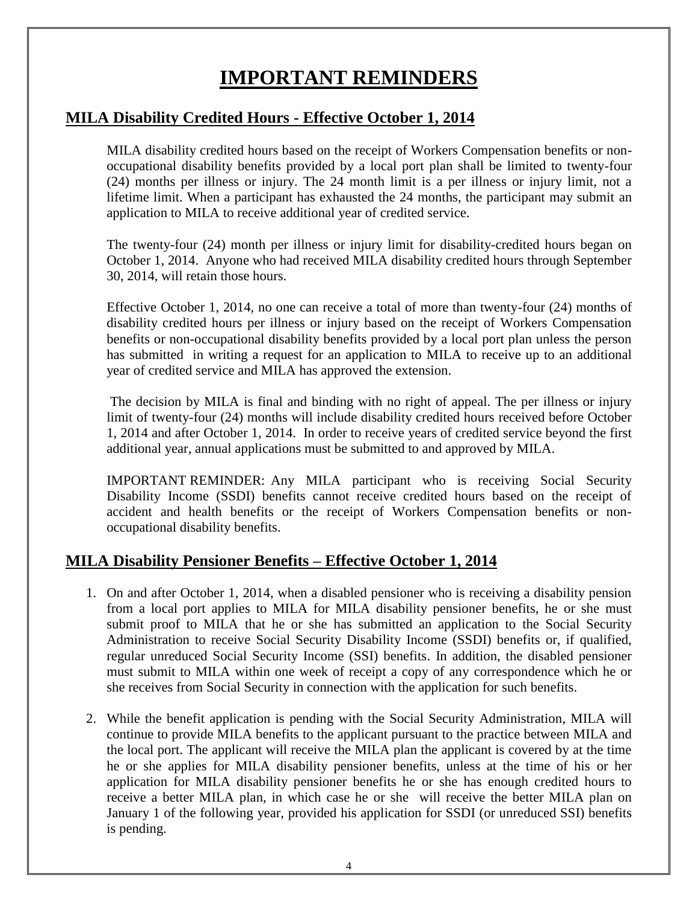# **IMPORTANT REMINDERS**

### **MILA Disability Credited Hours - Effective October 1, 2014**

MILA disability credited hours based on the receipt of Workers Compensation benefits or nonoccupational disability benefits provided by a local port plan shall be limited to twenty-four (24) months per illness or injury. The 24 month limit is a per illness or injury limit, not a lifetime limit. When a participant has exhausted the 24 months, the participant may submit an application to MILA to receive additional year of credited service.

The twenty-four (24) month per illness or injury limit for disability-credited hours began on October 1, 2014. Anyone who had received MILA disability credited hours through September 30, 2014, will retain those hours.

Effective October 1, 2014, no one can receive a total of more than twenty-four (24) months of disability credited hours per illness or injury based on the receipt of Workers Compensation benefits or non-occupational disability benefits provided by a local port plan unless the person has submitted in writing a request for an application to MILA to receive up to an additional year of credited service and MILA has approved the extension.

The decision by MILA is final and binding with no right of appeal. The per illness or injury limit of twenty-four (24) months will include disability credited hours received before October 1, 2014 and after October 1, 2014. In order to receive years of credited service beyond the first additional year, annual applications must be submitted to and approved by MILA.

IMPORTANT REMINDER: Any MILA participant who is receiving Social Security Disability Income (SSDI) benefits cannot receive credited hours based on the receipt of accident and health benefits or the receipt of Workers Compensation benefits or nonoccupational disability benefits.

### **MILA Disability Pensioner Benefits – Effective October 1, 2014**

- 1. On and after October 1, 2014, when a disabled pensioner who is receiving a disability pension from a local port applies to MILA for MILA disability pensioner benefits, he or she must submit proof to MILA that he or she has submitted an application to the Social Security Administration to receive Social Security Disability Income (SSDI) benefits or, if qualified, regular unreduced Social Security Income (SSI) benefits. In addition, the disabled pensioner must submit to MILA within one week of receipt a copy of any correspondence which he or she receives from Social Security in connection with the application for such benefits.
- 2. While the benefit application is pending with the Social Security Administration, MILA will continue to provide MILA benefits to the applicant pursuant to the practice between MILA and the local port. The applicant will receive the MILA plan the applicant is covered by at the time he or she applies for MILA disability pensioner benefits, unless at the time of his or her application for MILA disability pensioner benefits he or she has enough credited hours to receive a better MILA plan, in which case he or she will receive the better MILA plan on January 1 of the following year, provided his application for SSDI (or unreduced SSI) benefits is pending.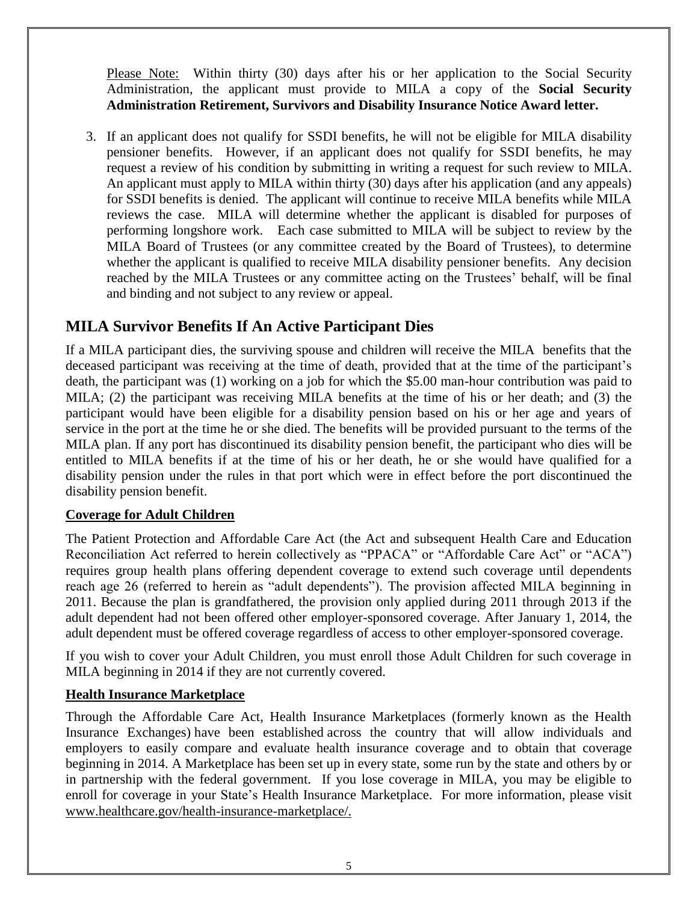Please Note: Within thirty (30) days after his or her application to the Social Security Administration, the applicant must provide to MILA a copy of the **Social Security Administration Retirement, Survivors and Disability Insurance Notice Award letter.**

3. If an applicant does not qualify for SSDI benefits, he will not be eligible for MILA disability pensioner benefits. However, if an applicant does not qualify for SSDI benefits, he may request a review of his condition by submitting in writing a request for such review to MILA. An applicant must apply to MILA within thirty (30) days after his application (and any appeals) for SSDI benefits is denied. The applicant will continue to receive MILA benefits while MILA reviews the case. MILA will determine whether the applicant is disabled for purposes of performing longshore work. Each case submitted to MILA will be subject to review by the MILA Board of Trustees (or any committee created by the Board of Trustees), to determine whether the applicant is qualified to receive MILA disability pensioner benefits. Any decision reached by the MILA Trustees or any committee acting on the Trustees' behalf, will be final and binding and not subject to any review or appeal.

### **MILA Survivor Benefits If An Active Participant Dies**

If a MILA participant dies, the surviving spouse and children will receive the MILA benefits that the deceased participant was receiving at the time of death, provided that at the time of the participant's death, the participant was (1) working on a job for which the \$5.00 man-hour contribution was paid to MILA; (2) the participant was receiving MILA benefits at the time of his or her death; and (3) the participant would have been eligible for a disability pension based on his or her age and years of service in the port at the time he or she died. The benefits will be provided pursuant to the terms of the MILA plan. If any port has discontinued its disability pension benefit, the participant who dies will be entitled to MILA benefits if at the time of his or her death, he or she would have qualified for a disability pension under the rules in that port which were in effect before the port discontinued the disability pension benefit.

### **Coverage for Adult Children**

The Patient Protection and Affordable Care Act (the Act and subsequent Health Care and Education Reconciliation Act referred to herein collectively as "PPACA" or "Affordable Care Act" or "ACA") requires group health plans offering dependent coverage to extend such coverage until dependents reach age 26 (referred to herein as "adult dependents"). The provision affected MILA beginning in 2011. Because the plan is grandfathered, the provision only applied during 2011 through 2013 if the adult dependent had not been offered other employer-sponsored coverage. After January 1, 2014, the adult dependent must be offered coverage regardless of access to other employer-sponsored coverage.

If you wish to cover your Adult Children, you must enroll those Adult Children for such coverage in MILA beginning in 2014 if they are not currently covered.

### **Health Insurance Marketplace**

Through the Affordable Care Act, Health Insurance Marketplaces (formerly known as the Health Insurance Exchanges) have been established across the country that will allow individuals and employers to easily compare and evaluate health insurance coverage and to obtain that coverage beginning in 2014. A Marketplace has been set up in every state, some run by the state and others by or in partnership with the federal government. If you lose coverage in MILA, you may be eligible to enroll for coverage in your State's Health Insurance Marketplace. For more information, please visit [www.healthcare.gov/health-insurance-marketplace/.](http://www.healthcare.gov/health-insurance-marketplace/)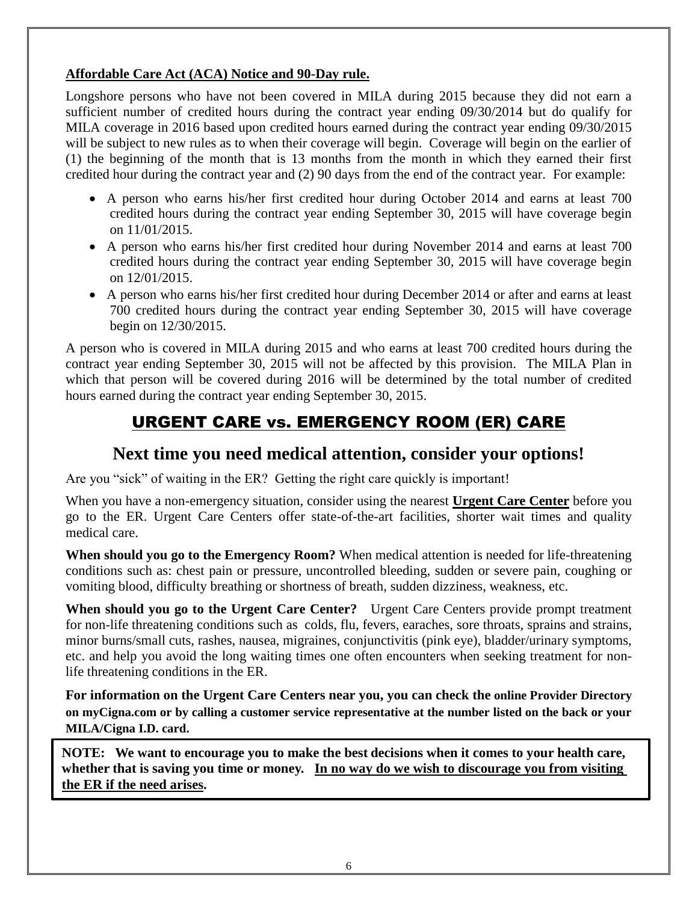### **Affordable Care Act (ACA) Notice and 90-Day rule.**

Longshore persons who have not been covered in MILA during 2015 because they did not earn a sufficient number of credited hours during the contract year ending 09/30/2014 but do qualify for MILA coverage in 2016 based upon credited hours earned during the contract year ending 09/30/2015 will be subject to new rules as to when their coverage will begin. Coverage will begin on the earlier of (1) the beginning of the month that is 13 months from the month in which they earned their first credited hour during the contract year and (2) 90 days from the end of the contract year. For example:

- A person who earns his/her first credited hour during October 2014 and earns at least 700 credited hours during the contract year ending September 30, 2015 will have coverage begin on 11/01/2015.
- A person who earns his/her first credited hour during November 2014 and earns at least 700 credited hours during the contract year ending September 30, 2015 will have coverage begin on 12/01/2015.
- A person who earns his/her first credited hour during December 2014 or after and earns at least 700 credited hours during the contract year ending September 30, 2015 will have coverage begin on 12/30/2015.

A person who is covered in MILA during 2015 and who earns at least 700 credited hours during the contract year ending September 30, 2015 will not be affected by this provision. The MILA Plan in which that person will be covered during 2016 will be determined by the total number of credited hours earned during the contract year ending September 30, 2015.

## URGENT CARE vs. EMERGENCY ROOM (ER) CARE

### **Next time you need medical attention, consider your options!**

Are you "sick" of waiting in the ER? Getting the right care quickly is important!

When you have a non-emergency situation, consider using the nearest **Urgent Care Center** before you go to the ER. Urgent Care Centers offer state-of-the-art facilities, shorter wait times and quality medical care.

**When should you go to the Emergency Room?** When medical attention is needed for life-threatening conditions such as: chest pain or pressure, uncontrolled bleeding, sudden or severe pain, coughing or vomiting blood, difficulty breathing or shortness of breath, sudden dizziness, weakness, etc.

**When should you go to the Urgent Care Center?** Urgent Care Centers provide prompt treatment for non-life threatening conditions such as colds, flu, fevers, earaches, sore throats, sprains and strains, minor burns/small cuts, rashes, nausea, migraines, conjunctivitis (pink eye), bladder/urinary symptoms, etc. and help you avoid the long waiting times one often encounters when seeking treatment for nonlife threatening conditions in the ER.

**For information on the Urgent Care Centers near you, you can check the online Provider Directory on myCigna.com or by calling a customer service representative at the number listed on the back or your MILA/Cigna I.D. card.**

**NOTE: We want to encourage you to make the best decisions when it comes to your health care, whether that is saving you time or money. In no way do we wish to discourage you from visiting the ER if the need arises.**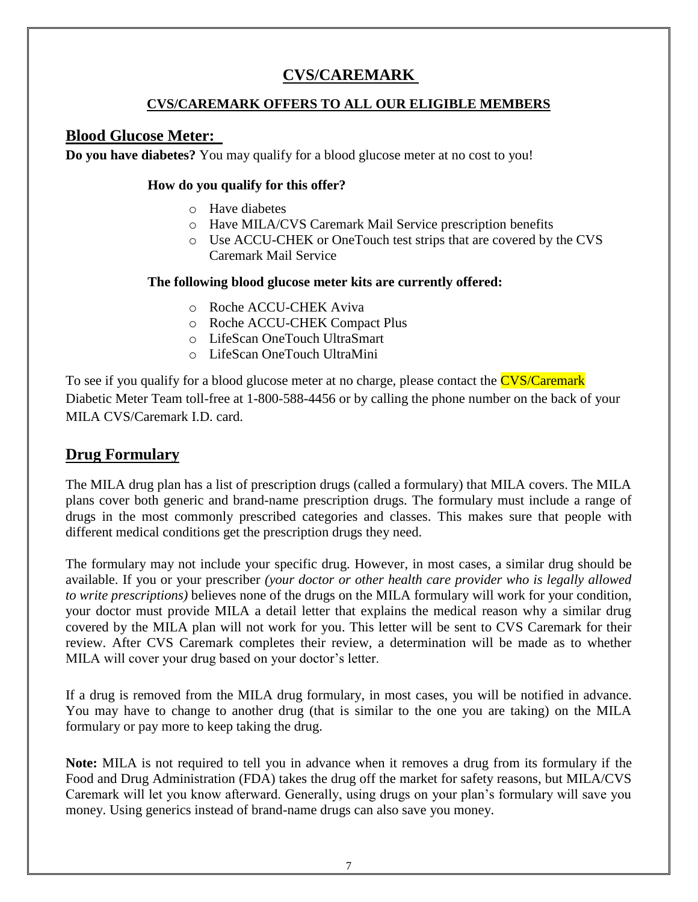## **CVS/CAREMARK**

### **CVS/CAREMARK OFFERS TO ALL OUR ELIGIBLE MEMBERS**

### **Blood Glucose Meter:**

**Do you have diabetes?** You may qualify for a blood glucose meter at no cost to you!

### **How do you qualify for this offer?**

- o Have diabetes
- o Have MILA/CVS Caremark Mail Service prescription benefits
- o Use ACCU-CHEK or OneTouch test strips that are covered by the CVS Caremark Mail Service

### **The following blood glucose meter kits are currently offered:**

- o Roche ACCU-CHEK Aviva
- o Roche ACCU-CHEK Compact Plus
- o LifeScan OneTouch UltraSmart
- o LifeScan OneTouch UltraMini

To see if you qualify for a blood glucose meter at no charge, please contact the **CVS/Caremark** Diabetic Meter Team toll-free at 1-800-588-4456 or by calling the phone number on the back of your MILA CVS/Caremark I.D. card.

### **Drug Formulary**

The MILA drug plan has a list of prescription drugs (called a formulary) that MILA covers. The MILA plans cover both generic and brand-name prescription drugs. The formulary must include a range of drugs in the most commonly prescribed categories and classes. This makes sure that people with different medical conditions get the prescription drugs they need.

The formulary may not include your specific drug. However, in most cases, a similar drug should be available. If you or your prescriber *(your doctor or other health care provider who is legally allowed to write prescriptions)* believes none of the drugs on the MILA formulary will work for your condition, your doctor must provide MILA a detail letter that explains the medical reason why a similar drug covered by the MILA plan will not work for you. This letter will be sent to CVS Caremark for their review. After CVS Caremark completes their review, a determination will be made as to whether MILA will cover your drug based on your doctor's letter.

If a drug is removed from the MILA drug formulary, in most cases, you will be notified in advance. You may have to change to another drug (that is similar to the one you are taking) on the MILA formulary or pay more to keep taking the drug.

**Note:** MILA is not required to tell you in advance when it removes a drug from its formulary if the Food and Drug Administration (FDA) takes the drug off the market for safety reasons, but MILA/CVS Caremark will let you know afterward. Generally, using drugs on your plan's formulary will save you money. Using generics instead of brand-name drugs can also save you money.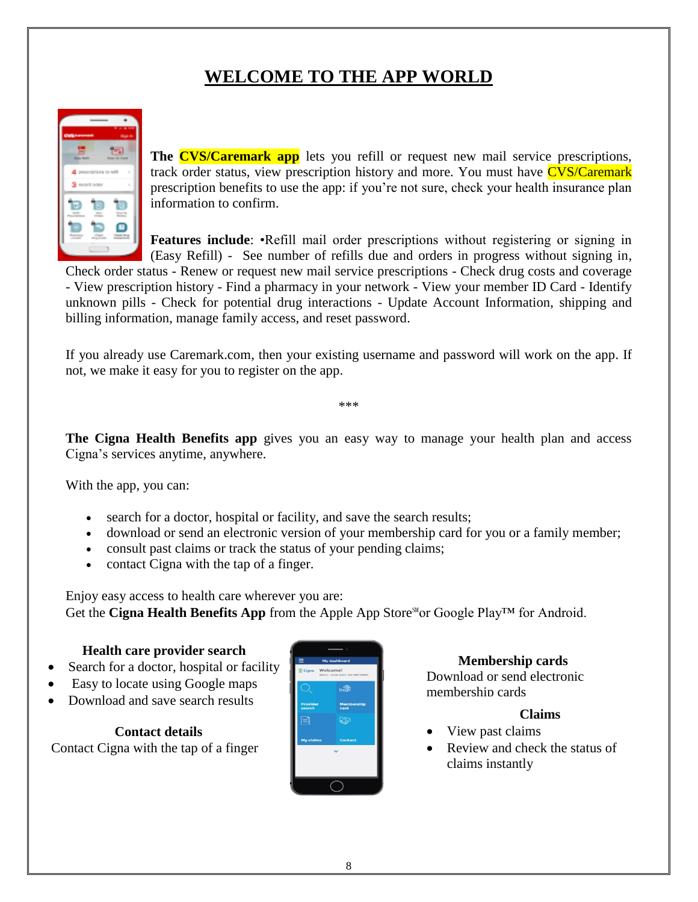## **WELCOME TO THE APP WORLD**



**The CVS/Caremark app** lets you refill or request new mail service prescriptions, track order status, view prescription history and more. You must have CVS/Caremark prescription benefits to use the app: if you're not sure, check your health insurance plan information to confirm.

**Features include:** •Refill mail order prescriptions without registering or signing in (Easy Refill) - See number of refills due and orders in progress without signing in,

Check order status - Renew or request new mail service prescriptions - Check drug costs and coverage - View prescription history - Find a pharmacy in your network - View your member ID Card - Identify unknown pills - Check for potential drug interactions - Update Account Information, shipping and billing information, manage family access, and reset password.

If you already use Caremark.com, then your existing username and password will work on the app. If not, we make it easy for you to register on the app.

\*\*\*

**The Cigna Health Benefits app** gives you an easy way to manage your health plan and access Cigna's services anytime, anywhere.

With the app, you can:

- search for a doctor, hospital or facility, and save the search results;
- download or send an electronic version of your membership card for you or a family member;
- consult past claims or track the status of your pending claims;
- contact Cigna with the tap of a finger.

Enjoy easy access to health care wherever you are: Get the **Cigna Health Benefits App** from the Apple App Store<sup>stor</sup> Google Play™ for Android.

### **Health care provider search**

- Search for a doctor, hospital or facility
- Easy to locate using Google maps
- Download and save search results

**Contact details**

Contact Cigna with the tap of a finger



### **Membership cards**

Download or send electronic membership cards

### **Claims**

- View past claims
- Review and check the status of claims instantly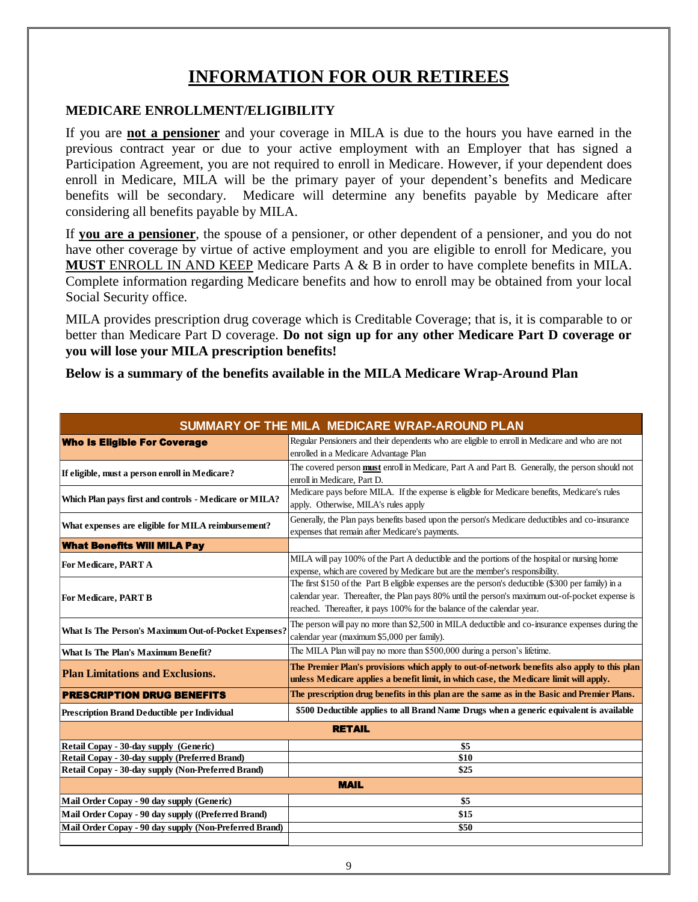## **INFORMATION FOR OUR RETIREES**

### **MEDICARE ENROLLMENT/ELIGIBILITY**

If you are **not a pensioner** and your coverage in MILA is due to the hours you have earned in the previous contract year or due to your active employment with an Employer that has signed a Participation Agreement, you are not required to enroll in Medicare. However, if your dependent does enroll in Medicare, MILA will be the primary payer of your dependent's benefits and Medicare benefits will be secondary. Medicare will determine any benefits payable by Medicare after considering all benefits payable by MILA.

If **you are a pensioner**, the spouse of a pensioner, or other dependent of a pensioner, and you do not have other coverage by virtue of active employment and you are eligible to enroll for Medicare, you **MUST** ENROLL IN AND KEEP Medicare Parts A & B in order to have complete benefits in MILA. Complete information regarding Medicare benefits and how to enroll may be obtained from your local Social Security office.

MILA provides prescription drug coverage which is Creditable Coverage; that is, it is comparable to or better than Medicare Part D coverage. **Do not sign up for any other Medicare Part D coverage or you will lose your MILA prescription benefits!**

**Below is a summary of the benefits available in the MILA Medicare Wrap-Around Plan** 

| SUMMARY OF THE MILA MEDICARE WRAP-AROUND PLAN          |                                                                                                                                                                                                                                                                                    |  |  |  |  |  |  |  |
|--------------------------------------------------------|------------------------------------------------------------------------------------------------------------------------------------------------------------------------------------------------------------------------------------------------------------------------------------|--|--|--|--|--|--|--|
| <b>Who Is Eligible For Coverage</b>                    | Regular Pensioners and their dependents who are eligible to enroll in Medicare and who are not<br>enrolled in a Medicare Advantage Plan                                                                                                                                            |  |  |  |  |  |  |  |
| If eligible, must a person enroll in Medicare?         | The covered person must enroll in Medicare, Part A and Part B. Generally, the person should not<br>enroll in Medicare, Part D.                                                                                                                                                     |  |  |  |  |  |  |  |
| Which Plan pays first and controls - Medicare or MILA? | Medicare pays before MILA. If the expense is eligible for Medicare benefits, Medicare's rules<br>apply. Otherwise, MILA's rules apply                                                                                                                                              |  |  |  |  |  |  |  |
| What expenses are eligible for MILA reimbursement?     | Generally, the Plan pays benefits based upon the person's Medicare deductibles and co-insurance<br>expenses that remain after Medicare's payments.                                                                                                                                 |  |  |  |  |  |  |  |
| <b>What Benefits Will MILA Pay</b>                     |                                                                                                                                                                                                                                                                                    |  |  |  |  |  |  |  |
| For Medicare, PART A                                   | MILA will pay 100% of the Part A deductible and the portions of the hospital or nursing home<br>expense, which are covered by Medicare but are the member's responsibility.                                                                                                        |  |  |  |  |  |  |  |
| For Medicare, PART B                                   | The first \$150 of the Part B eligible expenses are the person's deductible (\$300 per family) in a<br>calendar year. Thereafter, the Plan pays 80% until the person's maximum out-of-pocket expense is<br>reached. Thereafter, it pays 100% for the balance of the calendar year. |  |  |  |  |  |  |  |
| What Is The Person's Maximum Out-of-Pocket Expenses?   | The person will pay no more than \$2,500 in MILA deductible and co-insurance expenses during the<br>calendar year (maximum \$5,000 per family).                                                                                                                                    |  |  |  |  |  |  |  |
| <b>What Is The Plan's Maximum Benefit?</b>             | The MILA Plan will pay no more than \$500,000 during a person's lifetime.                                                                                                                                                                                                          |  |  |  |  |  |  |  |
| <b>Plan Limitations and Exclusions.</b>                | The Premier Plan's provisions which apply to out-of-network benefits also apply to this plan<br>unless Medicare applies a benefit limit, in which case, the Medicare limit will apply.                                                                                             |  |  |  |  |  |  |  |
| <b>PRESCRIPTION DRUG BENEFITS</b>                      | The prescription drug benefits in this plan are the same as in the Basic and Premier Plans.                                                                                                                                                                                        |  |  |  |  |  |  |  |
| <b>Prescription Brand Deductible per Individual</b>    | \$500 Deductible applies to all Brand Name Drugs when a generic equivalent is available                                                                                                                                                                                            |  |  |  |  |  |  |  |
| <b>RETAIL</b>                                          |                                                                                                                                                                                                                                                                                    |  |  |  |  |  |  |  |
| Retail Copay - 30-day supply (Generic)                 | \$5                                                                                                                                                                                                                                                                                |  |  |  |  |  |  |  |
| Retail Copay - 30-day supply (Preferred Brand)         | \$10                                                                                                                                                                                                                                                                               |  |  |  |  |  |  |  |
| Retail Copay - 30-day supply (Non-Preferred Brand)     | \$25                                                                                                                                                                                                                                                                               |  |  |  |  |  |  |  |
| <b>MAIL</b>                                            |                                                                                                                                                                                                                                                                                    |  |  |  |  |  |  |  |
| Mail Order Copay - 90 day supply (Generic)             | \$5                                                                                                                                                                                                                                                                                |  |  |  |  |  |  |  |
| Mail Order Copay - 90 day supply ((Preferred Brand)    | \$15                                                                                                                                                                                                                                                                               |  |  |  |  |  |  |  |
| Mail Order Copay - 90 day supply (Non-Preferred Brand) | \$50                                                                                                                                                                                                                                                                               |  |  |  |  |  |  |  |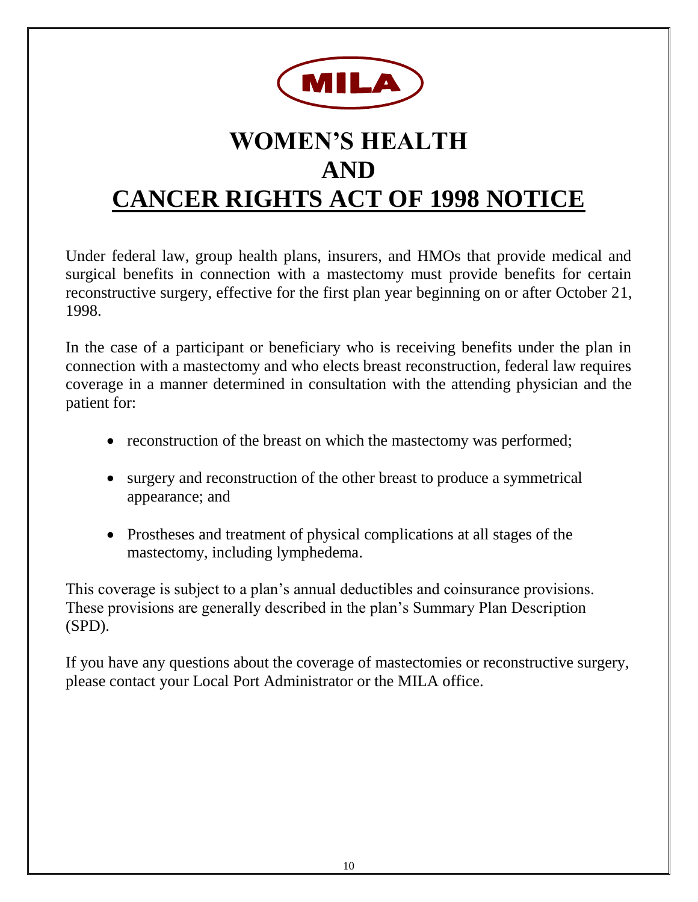

# **WOMEN'S HEALTH AND CANCER RIGHTS ACT OF 1998 NOTICE**

Under federal law, group health plans, insurers, and HMOs that provide medical and surgical benefits in connection with a mastectomy must provide benefits for certain reconstructive surgery, effective for the first plan year beginning on or after October 21, 1998.

In the case of a participant or beneficiary who is receiving benefits under the plan in connection with a mastectomy and who elects breast reconstruction, federal law requires coverage in a manner determined in consultation with the attending physician and the patient for:

- reconstruction of the breast on which the mastectomy was performed;
- surgery and reconstruction of the other breast to produce a symmetrical appearance; and
- Prostheses and treatment of physical complications at all stages of the mastectomy, including lymphedema.

This coverage is subject to a plan's annual deductibles and coinsurance provisions. These provisions are generally described in the plan's Summary Plan Description (SPD).

If you have any questions about the coverage of mastectomies or reconstructive surgery, please contact your Local Port Administrator or the MILA office.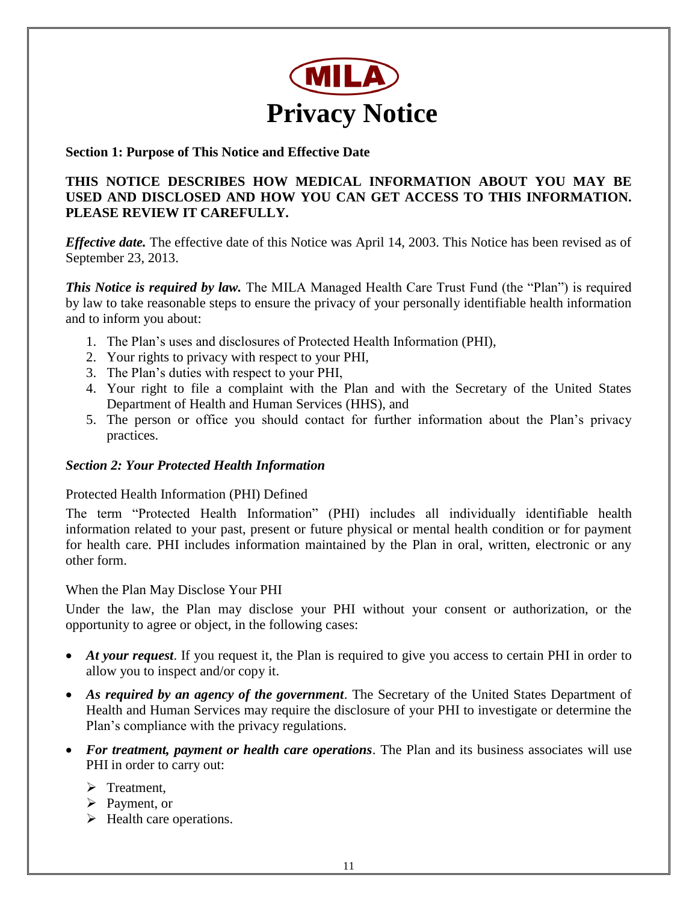

### **Section 1: Purpose of This Notice and Effective Date**

### **THIS NOTICE DESCRIBES HOW MEDICAL INFORMATION ABOUT YOU MAY BE USED AND DISCLOSED AND HOW YOU CAN GET ACCESS TO THIS INFORMATION. PLEASE REVIEW IT CAREFULLY.**

*Effective date.* The effective date of this Notice was April 14, 2003. This Notice has been revised as of September 23, 2013.

*This Notice is required by law.* The MILA Managed Health Care Trust Fund (the "Plan") is required by law to take reasonable steps to ensure the privacy of your personally identifiable health information and to inform you about:

- 1. The Plan's uses and disclosures of Protected Health Information (PHI),
- 2. Your rights to privacy with respect to your PHI,
- 3. The Plan's duties with respect to your PHI,
- 4. Your right to file a complaint with the Plan and with the Secretary of the United States Department of Health and Human Services (HHS), and
- 5. The person or office you should contact for further information about the Plan's privacy practices.

### *Section 2: Your Protected Health Information*

### Protected Health Information (PHI) Defined

The term "Protected Health Information" (PHI) includes all individually identifiable health information related to your past, present or future physical or mental health condition or for payment for health care. PHI includes information maintained by the Plan in oral, written, electronic or any other form.

### When the Plan May Disclose Your PHI

Under the law, the Plan may disclose your PHI without your consent or authorization, or the opportunity to agree or object, in the following cases:

- *At your request*. If you request it, the Plan is required to give you access to certain PHI in order to allow you to inspect and/or copy it.
- *As required by an agency of the government*. The Secretary of the United States Department of Health and Human Services may require the disclosure of your PHI to investigate or determine the Plan's compliance with the privacy regulations.
- *For treatment, payment or health care operations*. The Plan and its business associates will use PHI in order to carry out:
	- $\triangleright$  Treatment.
	- $\triangleright$  Payment, or
	- $\triangleright$  Health care operations.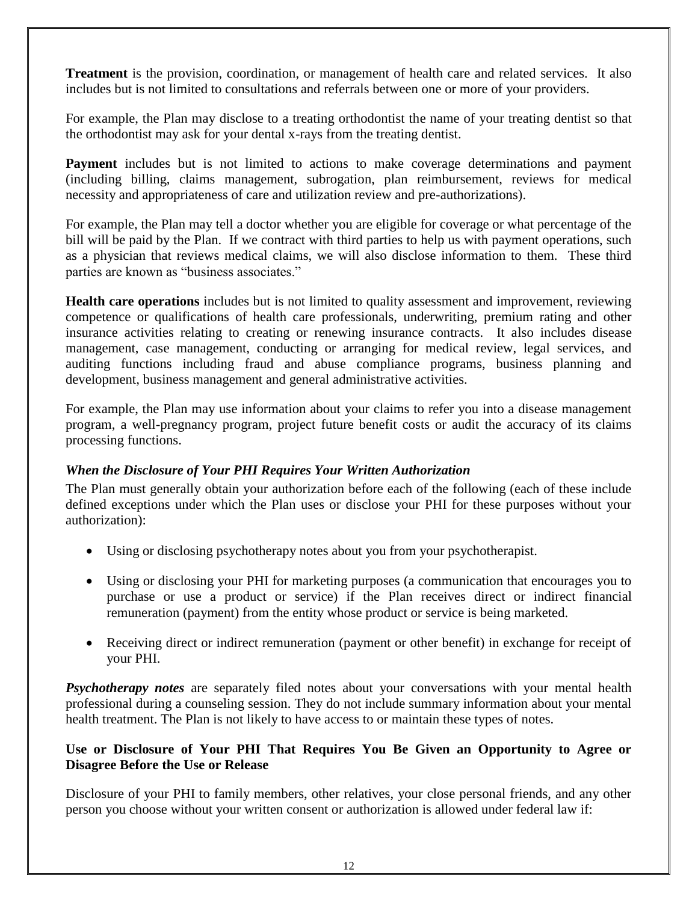**Treatment** is the provision, coordination, or management of health care and related services. It also includes but is not limited to consultations and referrals between one or more of your providers.

For example, the Plan may disclose to a treating orthodontist the name of your treating dentist so that the orthodontist may ask for your dental x-rays from the treating dentist.

**Payment** includes but is not limited to actions to make coverage determinations and payment (including billing, claims management, subrogation, plan reimbursement, reviews for medical necessity and appropriateness of care and utilization review and pre-authorizations).

For example, the Plan may tell a doctor whether you are eligible for coverage or what percentage of the bill will be paid by the Plan. If we contract with third parties to help us with payment operations, such as a physician that reviews medical claims, we will also disclose information to them. These third parties are known as "business associates."

**Health care operations** includes but is not limited to quality assessment and improvement, reviewing competence or qualifications of health care professionals, underwriting, premium rating and other insurance activities relating to creating or renewing insurance contracts. It also includes disease management, case management, conducting or arranging for medical review, legal services, and auditing functions including fraud and abuse compliance programs, business planning and development, business management and general administrative activities.

For example, the Plan may use information about your claims to refer you into a disease management program, a well-pregnancy program, project future benefit costs or audit the accuracy of its claims processing functions.

### *When the Disclosure of Your PHI Requires Your Written Authorization*

The Plan must generally obtain your authorization before each of the following (each of these include defined exceptions under which the Plan uses or disclose your PHI for these purposes without your authorization):

- Using or disclosing psychotherapy notes about you from your psychotherapist.
- Using or disclosing your PHI for marketing purposes (a communication that encourages you to purchase or use a product or service) if the Plan receives direct or indirect financial remuneration (payment) from the entity whose product or service is being marketed.
- Receiving direct or indirect remuneration (payment or other benefit) in exchange for receipt of your PHI.

*Psychotherapy notes* are separately filed notes about your conversations with your mental health professional during a counseling session. They do not include summary information about your mental health treatment. The Plan is not likely to have access to or maintain these types of notes.

### **Use or Disclosure of Your PHI That Requires You Be Given an Opportunity to Agree or Disagree Before the Use or Release**

Disclosure of your PHI to family members, other relatives, your close personal friends, and any other person you choose without your written consent or authorization is allowed under federal law if: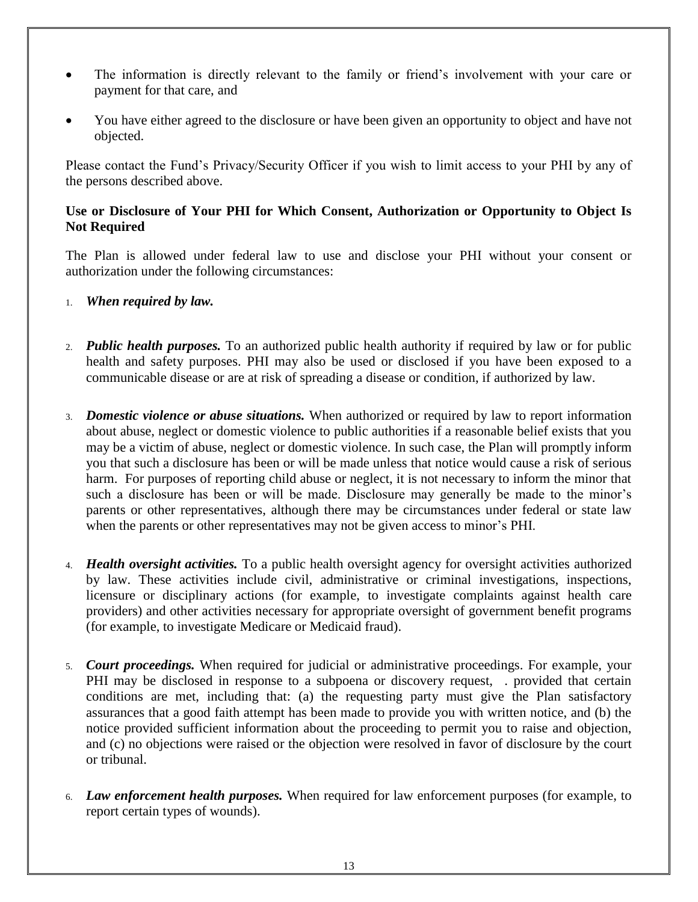- The information is directly relevant to the family or friend's involvement with your care or payment for that care, and
- You have either agreed to the disclosure or have been given an opportunity to object and have not objected.

Please contact the Fund's Privacy/Security Officer if you wish to limit access to your PHI by any of the persons described above.

### **Use or Disclosure of Your PHI for Which Consent, Authorization or Opportunity to Object Is Not Required**

The Plan is allowed under federal law to use and disclose your PHI without your consent or authorization under the following circumstances:

- 1. *When required by law.*
- 2. *Public health purposes.* To an authorized public health authority if required by law or for public health and safety purposes. PHI may also be used or disclosed if you have been exposed to a communicable disease or are at risk of spreading a disease or condition, if authorized by law.
- 3. *Domestic violence or abuse situations.* When authorized or required by law to report information about abuse, neglect or domestic violence to public authorities if a reasonable belief exists that you may be a victim of abuse, neglect or domestic violence. In such case, the Plan will promptly inform you that such a disclosure has been or will be made unless that notice would cause a risk of serious harm. For purposes of reporting child abuse or neglect, it is not necessary to inform the minor that such a disclosure has been or will be made. Disclosure may generally be made to the minor's parents or other representatives, although there may be circumstances under federal or state law when the parents or other representatives may not be given access to minor's PHI.
- 4. *Health oversight activities.* To a public health oversight agency for oversight activities authorized by law. These activities include civil, administrative or criminal investigations, inspections, licensure or disciplinary actions (for example, to investigate complaints against health care providers) and other activities necessary for appropriate oversight of government benefit programs (for example, to investigate Medicare or Medicaid fraud).
- 5. *Court proceedings.* When required for judicial or administrative proceedings. For example, your PHI may be disclosed in response to a subpoena or discovery request, . provided that certain conditions are met, including that: (a) the requesting party must give the Plan satisfactory assurances that a good faith attempt has been made to provide you with written notice, and (b) the notice provided sufficient information about the proceeding to permit you to raise and objection, and (c) no objections were raised or the objection were resolved in favor of disclosure by the court or tribunal.
- 6. *Law enforcement health purposes.* When required for law enforcement purposes (for example, to report certain types of wounds).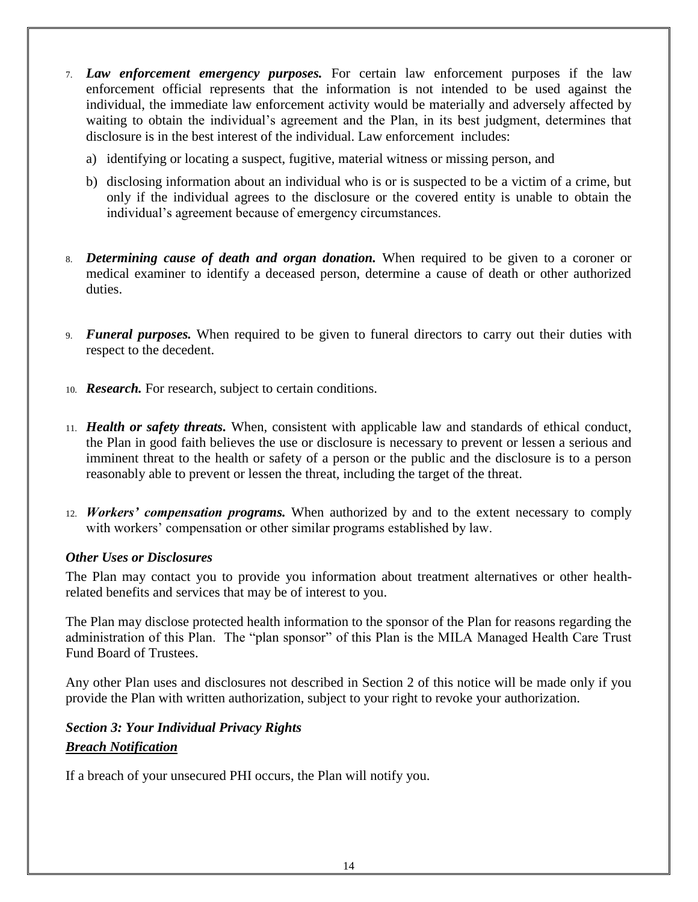- 7. *Law enforcement emergency purposes.* For certain law enforcement purposes if the law enforcement official represents that the information is not intended to be used against the individual, the immediate law enforcement activity would be materially and adversely affected by waiting to obtain the individual's agreement and the Plan, in its best judgment, determines that disclosure is in the best interest of the individual. Law enforcement includes:
	- a) identifying or locating a suspect, fugitive, material witness or missing person, and
	- b) disclosing information about an individual who is or is suspected to be a victim of a crime, but only if the individual agrees to the disclosure or the covered entity is unable to obtain the individual's agreement because of emergency circumstances.
- 8. *Determining cause of death and organ donation.* When required to be given to a coroner or medical examiner to identify a deceased person, determine a cause of death or other authorized duties.
- 9. *Funeral purposes.* When required to be given to funeral directors to carry out their duties with respect to the decedent.
- 10. *Research.* For research, subject to certain conditions.
- 11. *Health or safety threats.* When, consistent with applicable law and standards of ethical conduct, the Plan in good faith believes the use or disclosure is necessary to prevent or lessen a serious and imminent threat to the health or safety of a person or the public and the disclosure is to a person reasonably able to prevent or lessen the threat, including the target of the threat.
- 12. *Workers' compensation programs.* When authorized by and to the extent necessary to comply with workers' compensation or other similar programs established by law.

### *Other Uses or Disclosures*

The Plan may contact you to provide you information about treatment alternatives or other healthrelated benefits and services that may be of interest to you.

The Plan may disclose protected health information to the sponsor of the Plan for reasons regarding the administration of this Plan. The "plan sponsor" of this Plan is the MILA Managed Health Care Trust Fund Board of Trustees.

Any other Plan uses and disclosures not described in Section 2 of this notice will be made only if you provide the Plan with written authorization, subject to your right to revoke your authorization.

### *Section 3: Your Individual Privacy Rights Breach Notification*

If a breach of your unsecured PHI occurs, the Plan will notify you.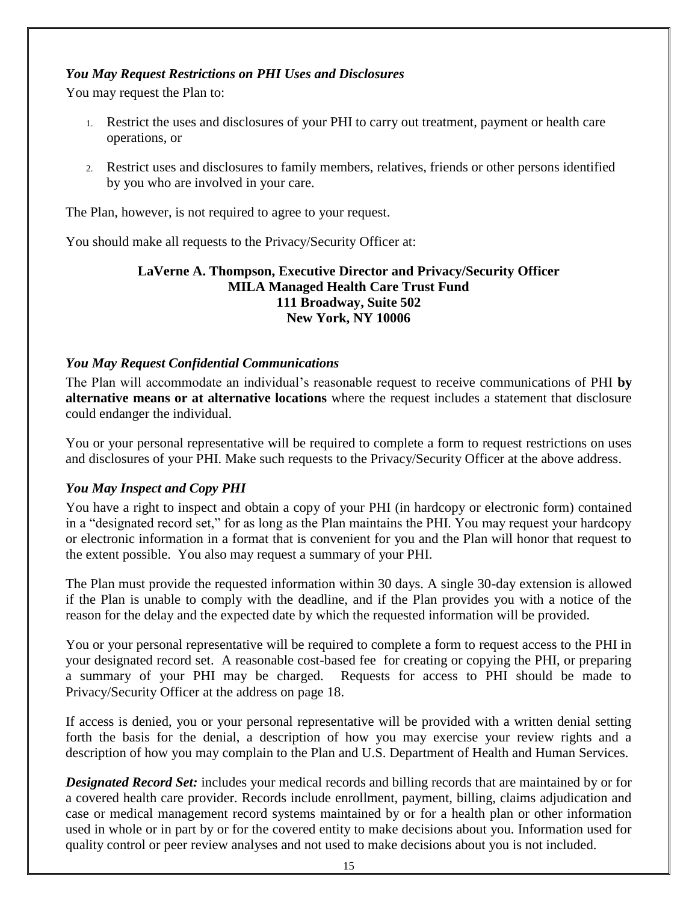### *You May Request Restrictions on PHI Uses and Disclosures*

You may request the Plan to:

- 1. Restrict the uses and disclosures of your PHI to carry out treatment, payment or health care operations, or
- 2. Restrict uses and disclosures to family members, relatives, friends or other persons identified by you who are involved in your care.

The Plan, however, is not required to agree to your request.

You should make all requests to the Privacy/Security Officer at:

### **LaVerne A. Thompson, Executive Director and Privacy/Security Officer MILA Managed Health Care Trust Fund 111 Broadway, Suite 502 New York, NY 10006**

### *You May Request Confidential Communications*

The Plan will accommodate an individual's reasonable request to receive communications of PHI **by alternative means or at alternative locations** where the request includes a statement that disclosure could endanger the individual.

You or your personal representative will be required to complete a form to request restrictions on uses and disclosures of your PHI. Make such requests to the Privacy/Security Officer at the above address.

### *You May Inspect and Copy PHI*

You have a right to inspect and obtain a copy of your PHI (in hardcopy or electronic form) contained in a "designated record set," for as long as the Plan maintains the PHI. You may request your hardcopy or electronic information in a format that is convenient for you and the Plan will honor that request to the extent possible. You also may request a summary of your PHI.

The Plan must provide the requested information within 30 days. A single 30-day extension is allowed if the Plan is unable to comply with the deadline, and if the Plan provides you with a notice of the reason for the delay and the expected date by which the requested information will be provided.

You or your personal representative will be required to complete a form to request access to the PHI in your designated record set. A reasonable cost-based fee for creating or copying the PHI, or preparing a summary of your PHI may be charged. Requests for access to PHI should be made to Privacy/Security Officer at the address on page 18.

If access is denied, you or your personal representative will be provided with a written denial setting forth the basis for the denial, a description of how you may exercise your review rights and a description of how you may complain to the Plan and U.S. Department of Health and Human Services.

*Designated Record Set:* includes your medical records and billing records that are maintained by or for a covered health care provider. Records include enrollment, payment, billing, claims adjudication and case or medical management record systems maintained by or for a health plan or other information used in whole or in part by or for the covered entity to make decisions about you. Information used for quality control or peer review analyses and not used to make decisions about you is not included.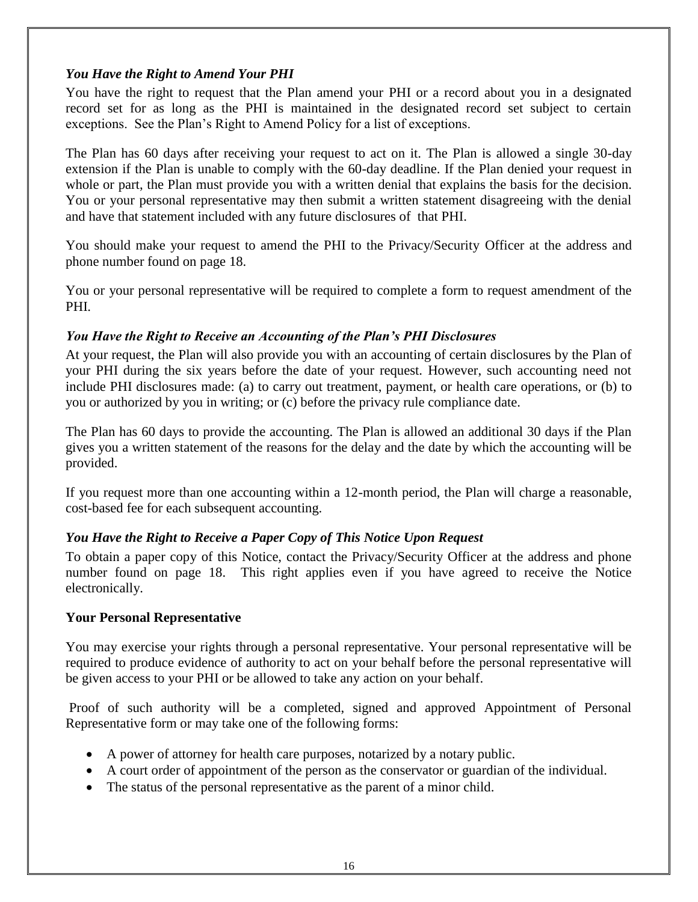### *You Have the Right to Amend Your PHI*

You have the right to request that the Plan amend your PHI or a record about you in a designated record set for as long as the PHI is maintained in the designated record set subject to certain exceptions. See the Plan's Right to Amend Policy for a list of exceptions.

The Plan has 60 days after receiving your request to act on it. The Plan is allowed a single 30-day extension if the Plan is unable to comply with the 60-day deadline. If the Plan denied your request in whole or part, the Plan must provide you with a written denial that explains the basis for the decision. You or your personal representative may then submit a written statement disagreeing with the denial and have that statement included with any future disclosures of that PHI.

You should make your request to amend the PHI to the Privacy/Security Officer at the address and phone number found on page 18.

You or your personal representative will be required to complete a form to request amendment of the PHI.

### *You Have the Right to Receive an Accounting of the Plan's PHI Disclosures*

At your request, the Plan will also provide you with an accounting of certain disclosures by the Plan of your PHI during the six years before the date of your request. However, such accounting need not include PHI disclosures made: (a) to carry out treatment, payment, or health care operations, or (b) to you or authorized by you in writing; or (c) before the privacy rule compliance date.

The Plan has 60 days to provide the accounting. The Plan is allowed an additional 30 days if the Plan gives you a written statement of the reasons for the delay and the date by which the accounting will be provided.

If you request more than one accounting within a 12-month period, the Plan will charge a reasonable, cost-based fee for each subsequent accounting.

### *You Have the Right to Receive a Paper Copy of This Notice Upon Request*

To obtain a paper copy of this Notice, contact the Privacy/Security Officer at the address and phone number found on page 18. This right applies even if you have agreed to receive the Notice electronically.

### **Your Personal Representative**

You may exercise your rights through a personal representative. Your personal representative will be required to produce evidence of authority to act on your behalf before the personal representative will be given access to your PHI or be allowed to take any action on your behalf.

Proof of such authority will be a completed, signed and approved Appointment of Personal Representative form or may take one of the following forms:

- A power of attorney for health care purposes, notarized by a notary public.
- A court order of appointment of the person as the conservator or guardian of the individual.
- The status of the personal representative as the parent of a minor child.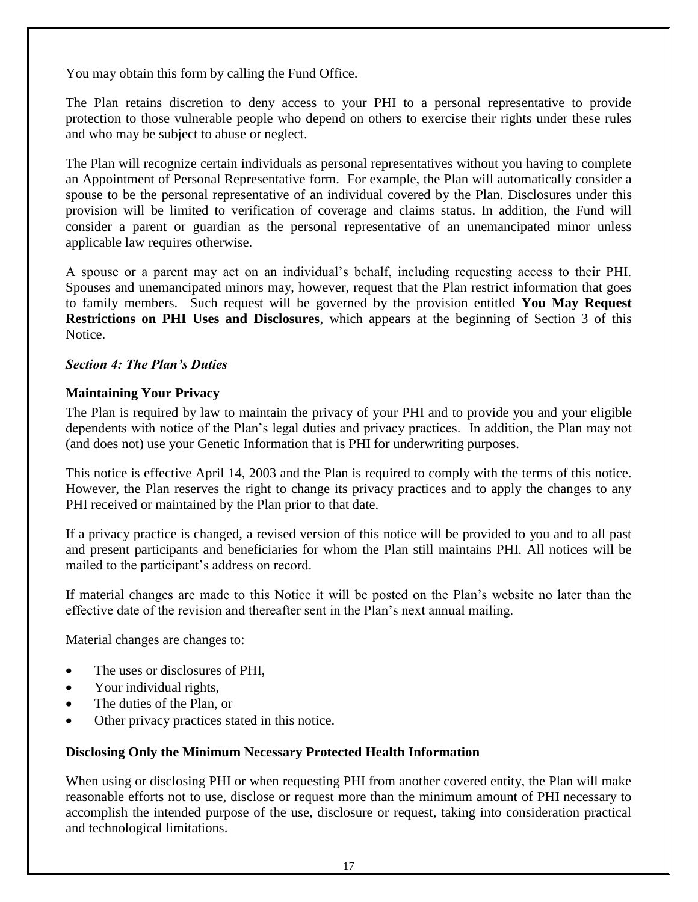You may obtain this form by calling the Fund Office.

The Plan retains discretion to deny access to your PHI to a personal representative to provide protection to those vulnerable people who depend on others to exercise their rights under these rules and who may be subject to abuse or neglect.

The Plan will recognize certain individuals as personal representatives without you having to complete an Appointment of Personal Representative form. For example, the Plan will automatically consider a spouse to be the personal representative of an individual covered by the Plan. Disclosures under this provision will be limited to verification of coverage and claims status. In addition, the Fund will consider a parent or guardian as the personal representative of an unemancipated minor unless applicable law requires otherwise.

A spouse or a parent may act on an individual's behalf, including requesting access to their PHI. Spouses and unemancipated minors may, however, request that the Plan restrict information that goes to family members. Such request will be governed by the provision entitled **You May Request Restrictions on PHI Uses and Disclosures**, which appears at the beginning of Section 3 of this Notice.

### *Section 4: The Plan's Duties*

### **Maintaining Your Privacy**

The Plan is required by law to maintain the privacy of your PHI and to provide you and your eligible dependents with notice of the Plan's legal duties and privacy practices. In addition, the Plan may not (and does not) use your Genetic Information that is PHI for underwriting purposes.

This notice is effective April 14, 2003 and the Plan is required to comply with the terms of this notice. However, the Plan reserves the right to change its privacy practices and to apply the changes to any PHI received or maintained by the Plan prior to that date.

If a privacy practice is changed, a revised version of this notice will be provided to you and to all past and present participants and beneficiaries for whom the Plan still maintains PHI. All notices will be mailed to the participant's address on record.

If material changes are made to this Notice it will be posted on the Plan's website no later than the effective date of the revision and thereafter sent in the Plan's next annual mailing.

Material changes are changes to:

- The uses or disclosures of PHI,
- Your individual rights,
- The duties of the Plan, or
- Other privacy practices stated in this notice.

### **Disclosing Only the Minimum Necessary Protected Health Information**

When using or disclosing PHI or when requesting PHI from another covered entity, the Plan will make reasonable efforts not to use, disclose or request more than the minimum amount of PHI necessary to accomplish the intended purpose of the use, disclosure or request, taking into consideration practical and technological limitations.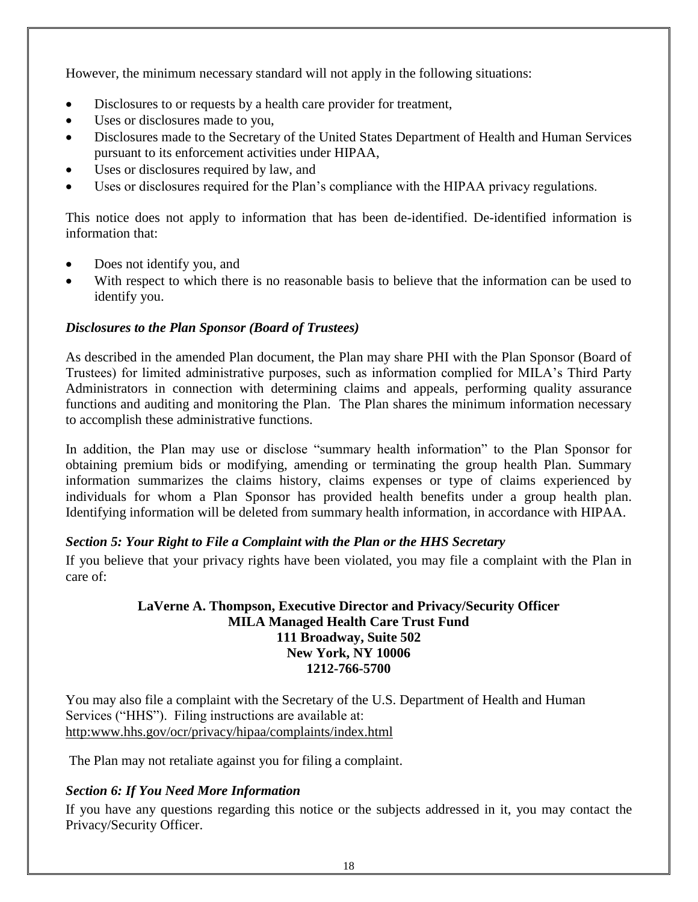However, the minimum necessary standard will not apply in the following situations:

- Disclosures to or requests by a health care provider for treatment,
- Uses or disclosures made to you,
- Disclosures made to the Secretary of the United States Department of Health and Human Services pursuant to its enforcement activities under HIPAA,
- Uses or disclosures required by law, and
- Uses or disclosures required for the Plan's compliance with the HIPAA privacy regulations.

This notice does not apply to information that has been de-identified. De-identified information is information that:

- Does not identify you, and
- With respect to which there is no reasonable basis to believe that the information can be used to identify you.

### *Disclosures to the Plan Sponsor (Board of Trustees)*

As described in the amended Plan document, the Plan may share PHI with the Plan Sponsor (Board of Trustees) for limited administrative purposes, such as information complied for MILA's Third Party Administrators in connection with determining claims and appeals, performing quality assurance functions and auditing and monitoring the Plan. The Plan shares the minimum information necessary to accomplish these administrative functions.

In addition, the Plan may use or disclose "summary health information" to the Plan Sponsor for obtaining premium bids or modifying, amending or terminating the group health Plan. Summary information summarizes the claims history, claims expenses or type of claims experienced by individuals for whom a Plan Sponsor has provided health benefits under a group health plan. Identifying information will be deleted from summary health information, in accordance with HIPAA.

### *Section 5: Your Right to File a Complaint with the Plan or the HHS Secretary*

If you believe that your privacy rights have been violated, you may file a complaint with the Plan in care of:

### **LaVerne A. Thompson, Executive Director and Privacy/Security Officer MILA Managed Health Care Trust Fund 111 Broadway, Suite 502 New York, NY 10006 1212-766-5700**

You may also file a complaint with the Secretary of the U.S. Department of Health and Human Services ("HHS"). Filing instructions are available at: [http:www.hhs.gov/ocr/privacy/hipaa/complaints/index.html](http://www.hhs.gov/ocr/privacy/hipaa/complaints/index.html)

The Plan may not retaliate against you for filing a complaint.

### *Section 6: If You Need More Information*

If you have any questions regarding this notice or the subjects addressed in it, you may contact the Privacy/Security Officer.